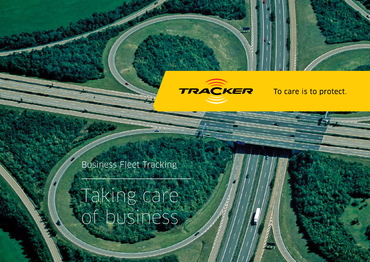

Business Fleet Tracking

Taking care of business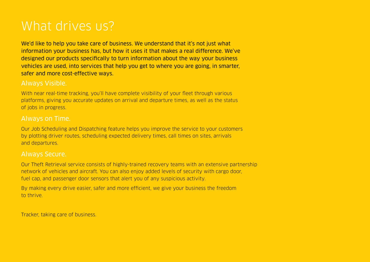# What drives us?

We'd like to help you take care of business. We understand that it's not just what information your business has, but how it uses it that makes a real difference. We've designed our products specifically to turn information about the way your business vehicles are used, into services that help you get to where you are going, in smarter, safer and more cost-effective ways.

# Always Visible.

With near real-time tracking, you'll have complete visibility of your fleet through various platforms, giving you accurate updates on arrival and departure times, as well as the status of jobs in progress.

# Always on Time.

Our Job Scheduling and Dispatching feature helps you improve the service to your customers by plotting driver routes, scheduling expected delivery times, call times on sites, arrivals and departures.

## Always Secure.

Our Theft Retrieval service consists of highly-trained recovery teams with an extensive partnership network of vehicles and aircraft. You can also enjoy added levels of security with cargo door, fuel cap, and passenger door sensors that alert you of any suspicious activity.

By making every drive easier, safer and more efficient, we give your business the freedom to thrive.

Tracker, taking care of business.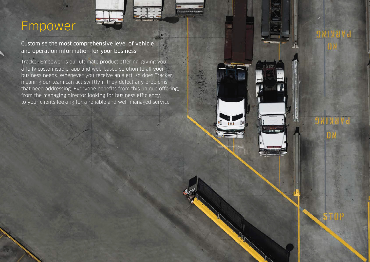# Empower

Customise the most comprehensive level of vehicle and operation information for your business.

Tracker Empower is our ultimate product offering, giving you a fully customisable, app and web-based solution to all your business needs. Whenever you receive an alert, so does Tracker, meaning our team can act swiftly if they detect any problems that need addressing. Everyone benefits from this unique offering, from the managing director looking for business efficiency, to your clients looking for a reliable and well-managed service.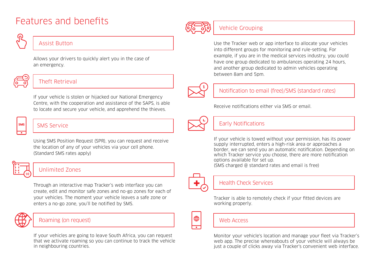# Features and benefits

## Assist Button

Allows your drivers to quickly alert you in the case of an emergency.



# Theft Retrieval

If your vehicle is stolen or hijacked our National Emergency Centre, with the cooperation and assistance of the SAPS, is able to locate and secure your vehicle, and apprehend the thieves.

# **SMS**

# SMS Service

Using SMS Position Request (SPR), you can request and receive the location of any of your vehicles via your cell phone. (Standard SMS rates apply)



# Unlimited Zones

Through an interactive map Tracker's web interface you can create, edit and monitor safe zones and no-go zones for each of your vehicles. The moment your vehicle leaves a safe zone or enters a no-go zone, you'll be notified by SMS.



## Roaming (on request)

If your vehicles are going to leave South Africa, you can request that we activate roaming so you can continue to track the vehicle in neighbouring countries.



# Vehicle Grouping

Use the Tracker web or app interface to allocate your vehicles into different groups for monitoring and rule-setting. For example, if you are in the medical services industry, you could have one group dedicated to ambulances operating 24 hours, and another group dedicated to admin vehicles operating between 8am and 5pm.



# Notification to email (free)/SMS (standard rates)

Receive notifications either via SMS or email



## **Early Notifications**

If your vehicle is towed without your permission, has its power supply interrupted, enters a high-risk area or approaches a border, we can send you an automatic notification. Depending on which Tracker service you choose, there are more notification options available for set up. (SMS charged @ standard rates and email is free)



⊕

## Health Check Services

Tracker is able to remotely check if your fitted devices are working properly.

## Web Arress

Monitor your vehicle's location and manage your fleet via Tracker's web app. The precise whereabouts of your vehicle will always be just a couple of clicks away via Tracker's convenient web interface.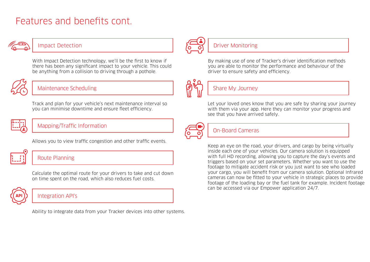# Features and benefits cont.



### Impact Detection

With Impact Detection technology, we'll be the first to know if there has been any significant impact to your vehicle. This could be anything from a collision to driving through a pothole.



# Maintenance Scheduling

Track and plan for your vehicle's next maintenance interval so you can minimise downtime and ensure fleet efficiency.



### Mapping/Traffic Information



Allows you to view traffic congestion and other traffic events.

# Route Planning

Calculate the optimal route for your drivers to take and cut down on time spent on the road, which also reduces fuel costs.



### Integration API's

Ability to integrate data from your Tracker devices into other systems.



## Driver Monitoring

By making use of one of Tracker's driver identification methods you are able to monitor the performance and behaviour of the driver to ensure safety and efficiency.



## Share My Journey

Let your loved ones know that you are safe by sharing your journey with them via your app. Here they can monitor your progress and see that you have arrived safely.



### On-Board Cameras

Keep an eye on the road, your drivers, and cargo by being virtually inside each one of your vehicles. Our camera solution is equipped with full HD recording, allowing you to capture the day's events and triggers based on your set parameters. Whether you want to use the footage to mitigate accident risk or you just want to see who loaded your cargo, you will benefit from our camera solution. Optional Infrared cameras can now be tted to your vehicle in strategic places to provide footage of the loading bay or the fuel tank for example. Incident footage can be accessed via our Empower application 24/7.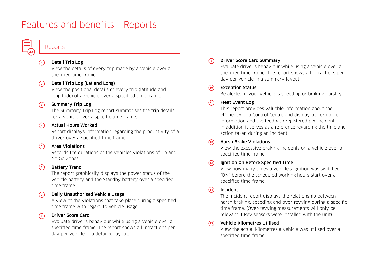# Features and benefits - Reports



### Reports

#### Detail Trip Log **1**

View the details of every trip made by a vehicle over a specified time frame.

#### Detail Trip Log (Lat and Long) **2**

View the positional details of every trip (latitude and longitude) of a vehicle over a specified time frame.

#### Summary Trip Log **3**

The Summary Trip Log report summarises the trip details for a vehicle over a specific time frame.

#### Actual Hours Worked **4**

Report displays information regarding the productivity of a driver over a specified time frame.

### Area Violations

**5**

Records the durations of the vehicles violations of Go and No Go Zones.

#### Battery Trend **6**

The report graphically displays the power status of the vehicle battery and the Standby battery over a specified time frame.

#### Daily Unauthorised Vehicle Usage  $\sqrt{7}$

A view of the violations that take place during a specified time frame with regard to vehicle usage.

#### Driver Score Card **8**

Evaluate driver's behaviour while using a vehicle over a specified time frame. The report shows all infractions per day per vehicle in a detailed layout.

### Driver Score Card Summary

Evaluate driver's behaviour while using a vehicle over a specified time frame. The report shows all infractions per day per vehicle in a summary layout.

#### Exception Status **10**

**9**

Be alerted if your vehicle is speeding or braking harshly.

#### Fleet Event Log  $(11)$

This report provides valuable information about the efficiency of a Control Centre and display performance information and the feedback registered per incident. In addition it serves as a reference regarding the time and action taken during an incident.

#### Harsh Brake Violations  $(12)$

View the excessive braking incidents on a vehicle over a specified time frame.

#### Ignition On Before Specified Time  $\binom{13}{ }$

View how many times a vehicle's ignition was switched "ON" before the scheduled working hours start over a specified time frame.

#### Incident  $(14)$

The Incident report displays the relationship between harsh braking, speeding and over-revving during a specific time frame. (Over-revving measurements will only be relevant if Rev sensors were installed with the unit).

#### Vehicle Kilometres Utilised **15**

View the actual kilometres a vehicle was utilised over a specified time frame.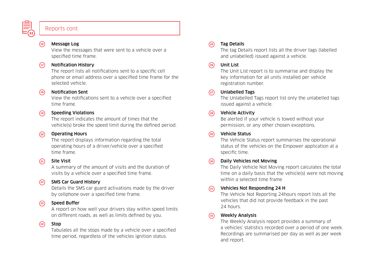

### Reports cont.

#### Message Log  $(16)$

View the messages that were sent to a vehicle over a specified time frame.

#### Notification History  $(17)$

The report lists all notifications sent to a specific cell phone or email address over a specified time frame for the selected vehicle.

#### Notification Sent  $(18)$

View the notifications sent to a vehicle over a specified time frame.

#### Speeding Violations  $(19)$

The report indicates the amount of times that the vehicle(s) broke the speed limit during the defined period.

#### Operating Hours  $(20)$

The report displays information regarding the total operating hours of a driver/vehicle over a specified time frame.

#### Site Visit  $(21)$

A summary of the amount of visits and the duration of visits by a vehicle over a specified time frame.

#### SMS Car Guard History  $(22)$

Details the SMS car guard activations made by the driver by cellphone over a specified time frame.

#### Speed Buffer  $(23)$

A report on how well your drivers stay within speed limits on different roads, as well as limits defined by you.

#### Stop  $(24)$

Tabulates all the stops made by a vehicle over a specified time period, regardless of the vehicles ignition status.

#### Tag Details  $(25)$

The tag Details report lists all the driver tags (labelled and unlabelled) issued against a vehicle.

#### Unit List **26**

The Unit List report is to summarise and display the key information for all units installed per vehicle registration number.

#### Unlabelled Tags  $(27)$

The Unlabelled Tags report list only the unlabelled tags issued against a vehicle.

#### Vehicle Activity  $(28)$

Be alerted if your vehicle is towed without your permission, or any other chosen exceptions.

#### Vehicle Status **29**

The Vehicle Status report summarises the operational status of the vehicles on the Empower application at a specific time.

#### Daily Vehicles not Moving **30**

The Daily Vehicle Not Moving report calculates the total time on a daily basis that the vehicle(s) were not moving within a selected time frame

#### Vehicles Not Responding 24 H **31**

The Vehicle Not Reporting 24hours report lists all the vehicles that did not provide feedback in the past 24 hours.

#### Weekly Analysis **32**

The Weekly Analysis report provides a summary of a vehicles' statistics recorded over a period of one week. Recordings are summarised per day as well as per week and report.